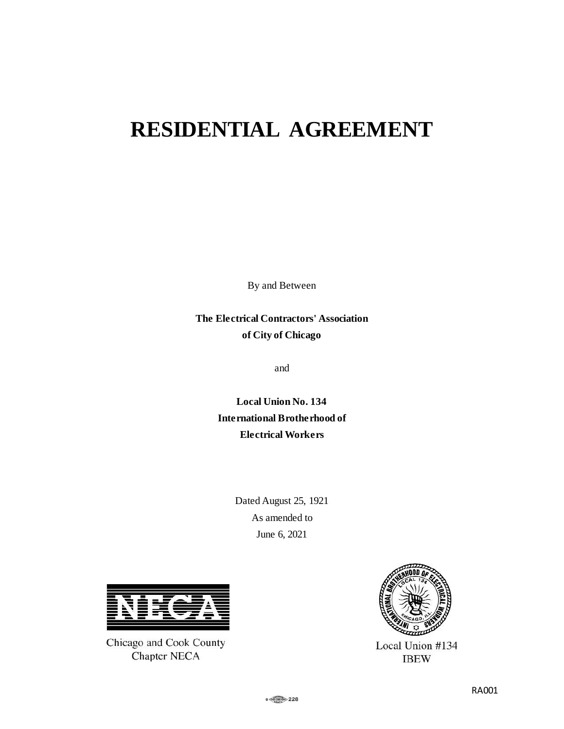# **RESIDENTIAL AGREEMENT**

By and Between

**The Electrical Contractors' Association of City of Chicago**

and

**Local Union No. 134 International Brotherhood of Electrical Workers**

> Dated August 25, 1921 As amended to June 6, 2021



Chicago and Cook County Chapter NECA



Local Union #134 **IBEW**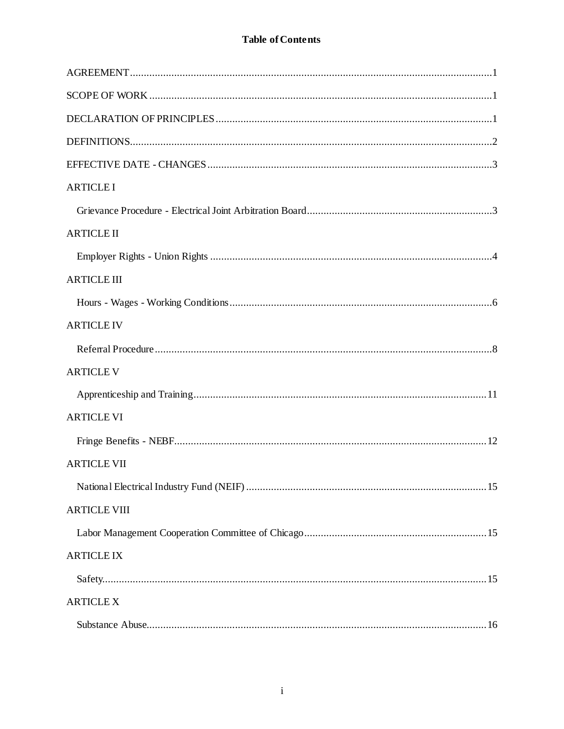## **Table of Contents**

| <b>ARTICLE I</b>    |
|---------------------|
|                     |
| <b>ARTICLE II</b>   |
|                     |
| <b>ARTICLE III</b>  |
|                     |
| <b>ARTICLE IV</b>   |
|                     |
| <b>ARTICLE V</b>    |
|                     |
| <b>ARTICLE VI</b>   |
|                     |
| <b>ARTICLE VII</b>  |
|                     |
| <b>ARTICLE VIII</b> |
|                     |
| <b>ARTICLE IX</b>   |
|                     |
| <b>ARTICLE X</b>    |
|                     |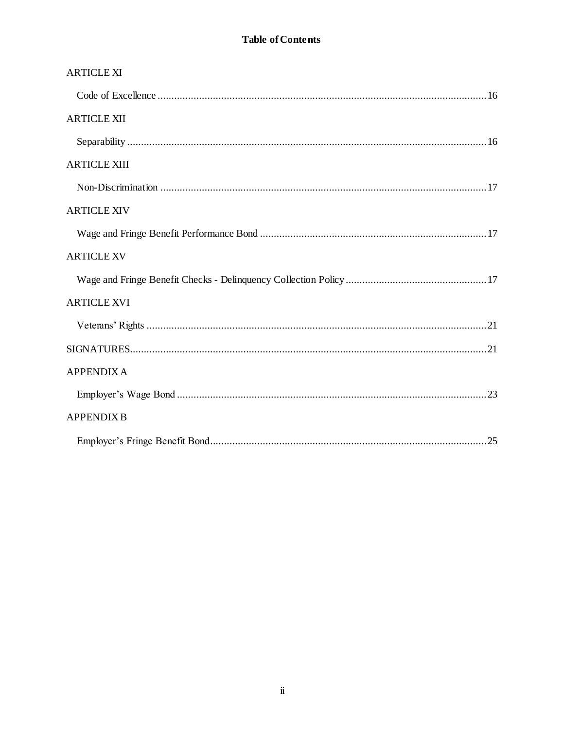## **Table of Contents**

| <b>ARTICLE XI</b>   |
|---------------------|
|                     |
| <b>ARTICLE XII</b>  |
|                     |
| <b>ARTICLE XIII</b> |
|                     |
| <b>ARTICLE XIV</b>  |
|                     |
| <b>ARTICLE XV</b>   |
|                     |
| <b>ARTICLE XVI</b>  |
|                     |
|                     |
| <b>APPENDIXA</b>    |
|                     |
| <b>APPENDIX B</b>   |
|                     |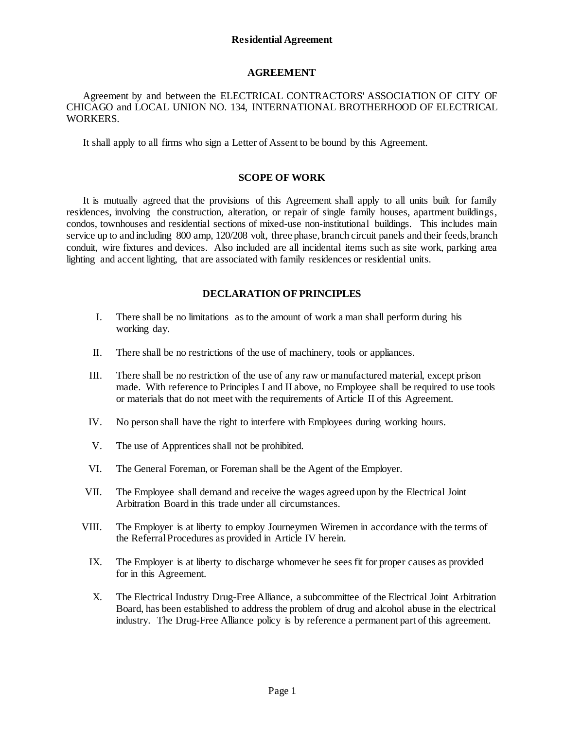## **AGREEMENT**

## <span id="page-4-0"></span>Agreement by and between the ELECTRICAL CONTRACTORS' ASSOCIATION OF CITY OF CHICAGO and LOCAL UNION NO. 134, INTERNATIONAL BROTHERHOOD OF ELECTRICAL WORKERS.

It shall apply to all firms who sign a Letter of Assent to be bound by this Agreement.

## **SCOPE OF WORK**

<span id="page-4-1"></span>It is mutually agreed that the provisions of this Agreement shall apply to all units built for family residences, involving the construction, alteration, or repair of single family houses, apartment buildings, condos, townhouses and residential sections of mixed-use non-institutional buildings. This includes main service up to and including 800 amp, 120/208 volt, three phase, branch circuit panels and their feeds, branch conduit, wire fixtures and devices. Also included are all incidental items such as site work, parking area lighting and accent lighting, that are associated with family residences or residential units.

## **DECLARATION OF PRINCIPLES**

- <span id="page-4-2"></span>I. There shall be no limitations as to the amount of work a man shall perform during his working day.
- II. There shall be no restrictions of the use of machinery, tools or appliances.
- III. There shall be no restriction of the use of any raw or manufactured material, except prison made. With reference to Principles I and II above, no Employee shall be required to use tools or materials that do not meet with the requirements of Article II of this Agreement.
- IV. No person shall have the right to interfere with Employees during working hours.
- V. The use of Apprentices shall not be prohibited.
- VI. The General Foreman, or Foreman shall be the Agent of the Employer.
- VII. The Employee shall demand and receive the wages agreed upon by the Electrical Joint Arbitration Board in this trade under all circumstances.
- VIII. The Employer is at liberty to employ Journeymen Wiremen in accordance with the terms of the Referral Procedures as provided in Article IV herein.
	- IX. The Employer is at liberty to discharge whomever he sees fit for proper causes as provided for in this Agreement.
	- X. The Electrical Industry Drug-Free Alliance, a subcommittee of the Electrical Joint Arbitration Board, has been established to address the problem of drug and alcohol abuse in the electrical industry. The Drug-Free Alliance policy is by reference a permanent part of this agreement.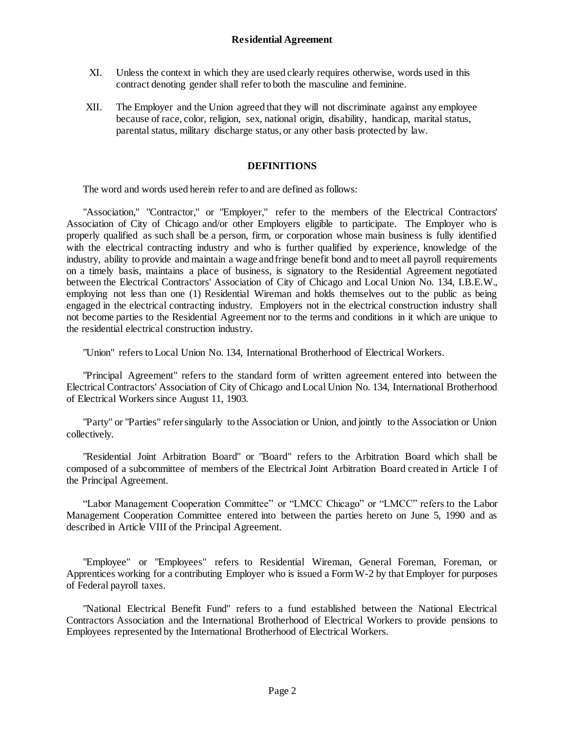- XI. Unless the context in which they are used clearly requires otherwise, words used in this contract denoting gender shall refer to both the masculine and feminine.
- XII. The Employer and the Union agreed that they will not discriminate against any employee because of race, color, religion, sex, national origin, disability, handicap, marital status, parental status, military discharge status, or any other basis protected by law.

## **DEFINITIONS**

<span id="page-5-0"></span>The word and words used herein refer to and are defined as follows:

"Association," "Contractor," or "Employer," refer to the members of the Electrical Contractors' Association of City of Chicago and/or other Employers eligible to participate. The Employer who is properly qualified as such shall be a person, firm, or corporation whose main business is fully identified with the electrical contracting industry and who is further qualified by experience, knowledge of the industry, ability to provide and maintain a wage and fringe benefit bond and to meet all payroll requirements on a timely basis, maintains a place of business, is signatory to the Residential Agreement negotiated between the Electrical Contractors' Association of City of Chicago and Local Union No. 134, I.B.E.W., employing not less than one (1) Residential Wireman and holds themselves out to the public as being engaged in the electrical contracting industry. Employers not in the electrical construction industry shall not become parties to the Residential Agreement nor to the terms and conditions in it which are unique to the residential electrical construction industry.

"Union" refers to Local Union No. 134, International Brotherhood of Electrical Workers.

"Principal Agreement" refers to the standard form of written agreement entered into between the Electrical Contractors' Association of City of Chicago and Local Union No. 134, International Brotherhood of Electrical Workers since August 11, 1903.

"Party" or "Parties" refer singularly to the Association or Union, and jointly to the Association or Union collectively.

"Residential Joint Arbitration Board" or "Board" refers to the Arbitration Board which shall be composed of a subcommittee of members of the Electrical Joint Arbitration Board created in Article I of the Principal Agreement.

"Labor Management Cooperation Committee" or "LMCC Chicago" or "LMCC" refers to the Labor Management Cooperation Committee entered into between the parties hereto on June 5, 1990 and as described in Article VIII of the Principal Agreement.

"Employee" or "Employees" refers to Residential Wireman, General Foreman, Foreman, or Apprentices working for a contributing Employer who is issued a Form W-2 by that Employer for purposes of Federal payroll taxes.

"National Electrical Benefit Fund" refers to a fund established between the National Electrical Contractors Association and the International Brotherhood of Electrical Workers to provide pensions to Employees represented by the International Brotherhood of Electrical Workers.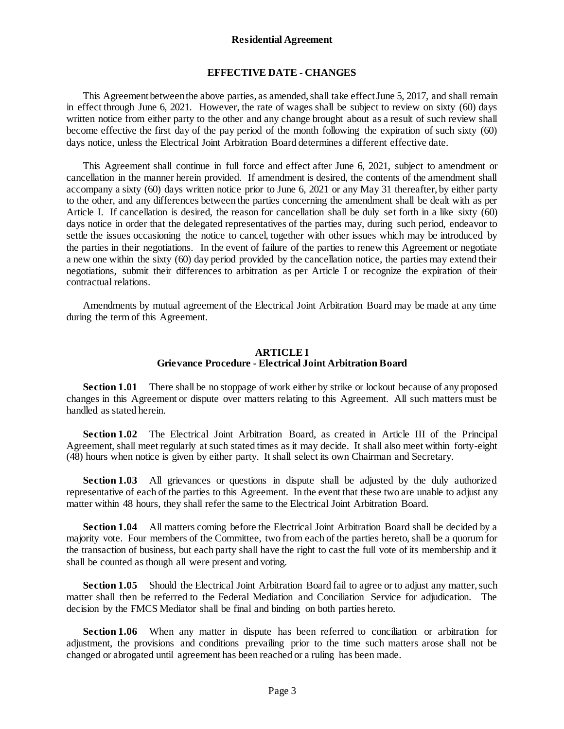### **EFFECTIVE DATE - CHANGES**

<span id="page-6-0"></span>This Agreement between the above parties, as amended, shall take effect June 5, 2017, and shall remain in effect through June 6, 2021. However, the rate of wages shall be subject to review on sixty (60) days written notice from either party to the other and any change brought about as a result of such review shall become effective the first day of the pay period of the month following the expiration of such sixty (60) days notice, unless the Electrical Joint Arbitration Board determines a different effective date.

This Agreement shall continue in full force and effect after June 6, 2021, subject to amendment or cancellation in the manner herein provided. If amendment is desired, the contents of the amendment shall accompany a sixty (60) days written notice prior to June 6, 2021 or any May 31 thereafter, by either party to the other, and any differences between the parties concerning the amendment shall be dealt with as per Article I. If cancellation is desired, the reason for cancellation shall be duly set forth in a like sixty (60) days notice in order that the delegated representatives of the parties may, during such period, endeavor to settle the issues occasioning the notice to cancel, together with other issues which may be introduced by the parties in their negotiations. In the event of failure of the parties to renew this Agreement or negotiate a new one within the sixty (60) day period provided by the cancellation notice, the parties may extend their negotiations, submit their differences to arbitration as per Article I or recognize the expiration of their contractual relations.

Amendments by mutual agreement of the Electrical Joint Arbitration Board may be made at any time during the term of this Agreement.

### **ARTICLE I Grievance Procedure - Electrical Joint Arbitration Board**

<span id="page-6-2"></span><span id="page-6-1"></span>**Section 1.01** There shall be no stoppage of work either by strike or lockout because of any proposed changes in this Agreement or dispute over matters relating to this Agreement. All such matters must be handled as stated herein.

**Section 1.02** The Electrical Joint Arbitration Board, as created in Article III of the Principal Agreement, shall meet regularly at such stated times as it may decide. It shall also meet within forty-eight (48) hours when notice is given by either party. It shall select its own Chairman and Secretary.

**Section 1.03** All grievances or questions in dispute shall be adjusted by the duly authorized representative of each of the parties to this Agreement. In the event that these two are unable to adjust any matter within 48 hours, they shall refer the same to the Electrical Joint Arbitration Board.

**Section 1.04** All matters coming before the Electrical Joint Arbitration Board shall be decided by a majority vote. Four members of the Committee, two from each of the parties hereto, shall be a quorum for the transaction of business, but each party shall have the right to cast the full vote of its membership and it shall be counted as though all were present and voting.

**Section 1.05** Should the Electrical Joint Arbitration Board fail to agree or to adjust any matter, such matter shall then be referred to the Federal Mediation and Conciliation Service for adjudication. The decision by the FMCS Mediator shall be final and binding on both parties hereto.

**Section 1.06** When any matter in dispute has been referred to conciliation or arbitration for adjustment, the provisions and conditions prevailing prior to the time such matters arose shall not be changed or abrogated until agreement has been reached or a ruling has been made.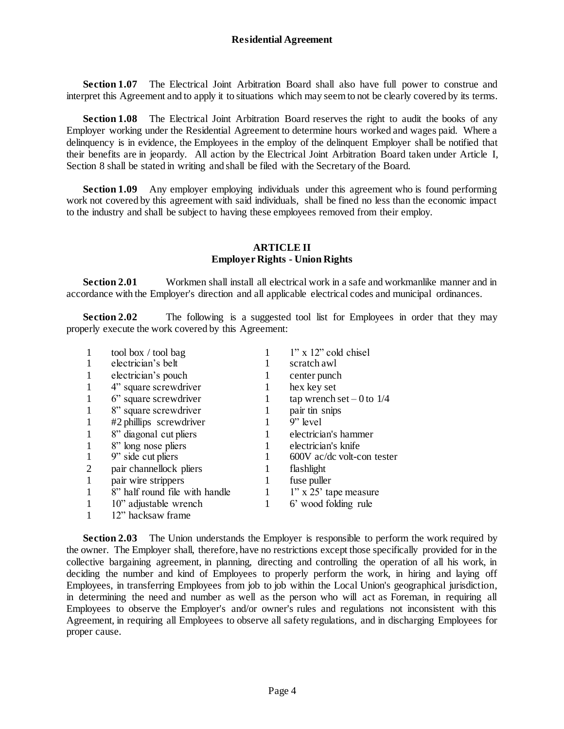**Section 1.07** The Electrical Joint Arbitration Board shall also have full power to construe and interpret this Agreement and to apply it to situations which may seem to not be clearly covered by its terms.

**Section 1.08** The Electrical Joint Arbitration Board reserves the right to audit the books of any Employer working under the Residential Agreement to determine hours worked and wages paid. Where a delinquency is in evidence, the Employees in the employ of the delinquent Employer shall be notified that their benefits are in jeopardy. All action by the Electrical Joint Arbitration Board taken under Article I, Section 8 shall be stated in writing and shall be filed with the Secretary of the Board.

**Section 1.09** Any employer employing individuals under this agreement who is found performing work not covered by this agreement with said individuals, shall be fined no less than the economic impact to the industry and shall be subject to having these employees removed from their employ.

## **ARTICLE II Employer Rights - Union Rights**

<span id="page-7-1"></span><span id="page-7-0"></span>**Section 2.01** Workmen shall install all electrical work in a safe and workmanlike manner and in accordance with the Employer's direction and all applicable electrical codes and municipal ordinances.

**Section 2.02** The following is a suggested tool list for Employees in order that they may properly execute the work covered by this Agreement:

|              | tool box / tool bag            |   | $1$ " x $12$ " cold chisel   |
|--------------|--------------------------------|---|------------------------------|
|              | electrician's belt             |   | scratch awl                  |
| 1            | electrician's pouch            |   | center punch                 |
|              | 4" square screwdriver          |   | hex key set                  |
| -1           | 6" square screwdriver          |   | tap wrench set $-0$ to $1/4$ |
| 1            | 8" square screwdriver          |   | pair tin snips               |
| -1           | #2 phillips screwdriver        |   | $9"$ level                   |
| 1            | 8" diagonal cut pliers         |   | electrician's hammer         |
| $\mathbf{1}$ | 8" long nose pliers            |   | electrician's knife          |
|              | 9" side cut pliers             |   | 600V ac/dc volt-con tester   |
| 2            | pair channellock pliers        |   | flashlight                   |
| 1            | pair wire strippers            |   | fuse puller                  |
|              | 8" half round file with handle |   | $1"$ x 25' tape measure      |
|              | 10" adjustable wrench          | 1 | 6' wood folding rule         |
|              | 12" hacksaw frame              |   |                              |

**Section 2.03** The Union understands the Employer is responsible to perform the work required by the owner. The Employer shall, therefore, have no restrictions except those specifically provided for in the collective bargaining agreement, in planning, directing and controlling the operation of all his work, in deciding the number and kind of Employees to properly perform the work, in hiring and laying off Employees, in transferring Employees from job to job within the Local Union's geographical jurisdiction, in determining the need and number as well as the person who will act as Foreman, in requiring all Employees to observe the Employer's and/or owner's rules and regulations not inconsistent with this Agreement, in requiring all Employees to observe all safety regulations, and in discharging Employees for proper cause.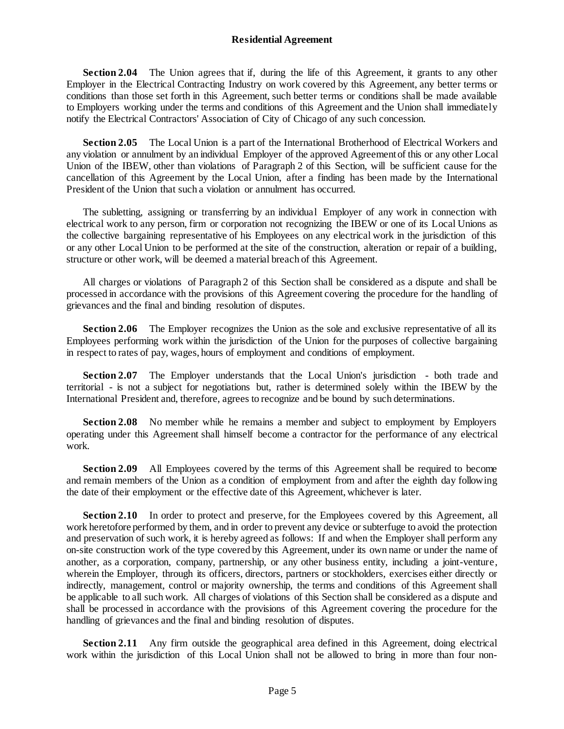**Section 2.04** The Union agrees that if, during the life of this Agreement, it grants to any other Employer in the Electrical Contracting Industry on work covered by this Agreement, any better terms or conditions than those set forth in this Agreement, such better terms or conditions shall be made available to Employers working under the terms and conditions of this Agreement and the Union shall immediately notify the Electrical Contractors' Association of City of Chicago of any such concession.

**Section 2.05** The Local Union is a part of the International Brotherhood of Electrical Workers and any violation or annulment by an individual Employer of the approved Agreement of this or any other Local Union of the IBEW, other than violations of Paragraph 2 of this Section, will be sufficient cause for the cancellation of this Agreement by the Local Union, after a finding has been made by the International President of the Union that such a violation or annulment has occurred.

The subletting, assigning or transferring by an individual Employer of any work in connection with electrical work to any person, firm or corporation not recognizing the IBEW or one of its Local Unions as the collective bargaining representative of his Employees on any electrical work in the jurisdiction of this or any other Local Union to be performed at the site of the construction, alteration or repair of a building, structure or other work, will be deemed a material breach of this Agreement.

All charges or violations of Paragraph 2 of this Section shall be considered as a dispute and shall be processed in accordance with the provisions of this Agreement covering the procedure for the handling of grievances and the final and binding resolution of disputes.

**Section 2.06** The Employer recognizes the Union as the sole and exclusive representative of all its Employees performing work within the jurisdiction of the Union for the purposes of collective bargaining in respect to rates of pay, wages, hours of employment and conditions of employment.

**Section 2.07** The Employer understands that the Local Union's jurisdiction - both trade and territorial - is not a subject for negotiations but, rather is determined solely within the IBEW by the International President and, therefore, agrees to recognize and be bound by such determinations.

**Section 2.08** No member while he remains a member and subject to employment by Employers operating under this Agreement shall himself become a contractor for the performance of any electrical work.

**Section 2.09** All Employees covered by the terms of this Agreement shall be required to become and remain members of the Union as a condition of employment from and after the eighth day following the date of their employment or the effective date of this Agreement, whichever is later.

Section 2.10 In order to protect and preserve, for the Employees covered by this Agreement, all work heretofore performed by them, and in order to prevent any device or subterfuge to avoid the protection and preservation of such work, it is hereby agreed as follows: If and when the Employer shall perform any on-site construction work of the type covered by this Agreement, under its own name or under the name of another, as a corporation, company, partnership, or any other business entity, including a joint-venture, wherein the Employer, through its officers, directors, partners or stockholders, exercises either directly or indirectly, management, control or majority ownership, the terms and conditions of this Agreement shall be applicable to all such work. All charges of violations of this Section shall be considered as a dispute and shall be processed in accordance with the provisions of this Agreement covering the procedure for the handling of grievances and the final and binding resolution of disputes.

**Section 2.11** Any firm outside the geographical area defined in this Agreement, doing electrical work within the jurisdiction of this Local Union shall not be allowed to bring in more than four non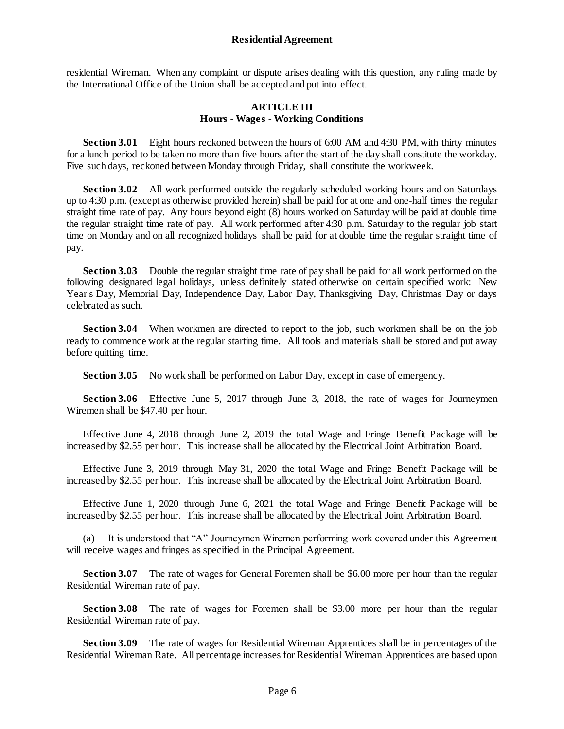<span id="page-9-0"></span>residential Wireman. When any complaint or dispute arises dealing with this question, any ruling made by the International Office of the Union shall be accepted and put into effect.

## **ARTICLE III Hours - Wages - Working Conditions**

<span id="page-9-1"></span>**Section 3.01** Eight hours reckoned between the hours of 6:00 AM and 4:30 PM, with thirty minutes for a lunch period to be taken no more than five hours after the start of the day shall constitute the workday. Five such days, reckoned between Monday through Friday, shall constitute the workweek.

**Section 3.02** All work performed outside the regularly scheduled working hours and on Saturdays up to 4:30 p.m. (except as otherwise provided herein) shall be paid for at one and one-half times the regular straight time rate of pay. Any hours beyond eight (8) hours worked on Saturday will be paid at double time the regular straight time rate of pay. All work performed after 4:30 p.m. Saturday to the regular job start time on Monday and on all recognized holidays shall be paid for at double time the regular straight time of pay.

**Section 3.03** Double the regular straight time rate of pay shall be paid for all work performed on the following designated legal holidays, unless definitely stated otherwise on certain specified work: New Year's Day, Memorial Day, Independence Day, Labor Day, Thanksgiving Day, Christmas Day or days celebrated as such.

**Section 3.04** When workmen are directed to report to the job, such workmen shall be on the job ready to commence work at the regular starting time. All tools and materials shall be stored and put away before quitting time.

**Section 3.05** No work shall be performed on Labor Day, except in case of emergency.

**Section 3.06** Effective June 5, 2017 through June 3, 2018, the rate of wages for Journeymen Wiremen shall be \$47.40 per hour.

Effective June 4, 2018 through June 2, 2019 the total Wage and Fringe Benefit Package will be increased by \$2.55 per hour. This increase shall be allocated by the Electrical Joint Arbitration Board.

Effective June 3, 2019 through May 31, 2020 the total Wage and Fringe Benefit Package will be increased by \$2.55 per hour. This increase shall be allocated by the Electrical Joint Arbitration Board.

Effective June 1, 2020 through June 6, 2021 the total Wage and Fringe Benefit Package will be increased by \$2.55 per hour. This increase shall be allocated by the Electrical Joint Arbitration Board.

(a) It is understood that "A" Journeymen Wiremen performing work covered under this Agreement will receive wages and fringes as specified in the Principal Agreement.

**Section 3.07** The rate of wages for General Foremen shall be \$6.00 more per hour than the regular Residential Wireman rate of pay.

**Section 3.08** The rate of wages for Foremen shall be \$3.00 more per hour than the regular Residential Wireman rate of pay.

**Section 3.09** The rate of wages for Residential Wireman Apprentices shall be in percentages of the Residential Wireman Rate. All percentage increases for Residential Wireman Apprentices are based upon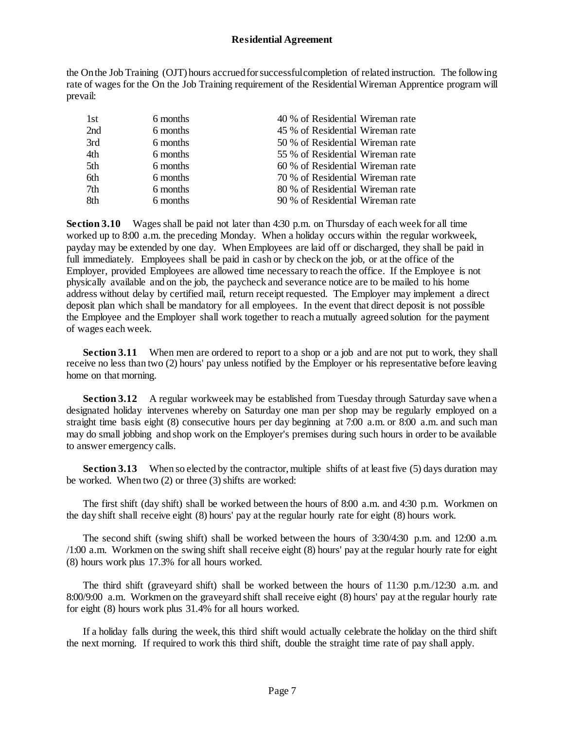the On the Job Training (OJT) hours accrued for successful completion of related instruction. The following rate of wages for the On the Job Training requirement of the Residential Wireman Apprentice program will prevail:

| 1st | 6 months | 40 % of Residential Wireman rate |
|-----|----------|----------------------------------|
| 2nd | 6 months | 45 % of Residential Wireman rate |
| 3rd | 6 months | 50 % of Residential Wireman rate |
| 4th | 6 months | 55 % of Residential Wireman rate |
| 5th | 6 months | 60 % of Residential Wireman rate |
| 6th | 6 months | 70 % of Residential Wireman rate |
| 7th | 6 months | 80 % of Residential Wireman rate |
| 8th | 6 months | 90 % of Residential Wireman rate |

**Section 3.10** Wages shall be paid not later than 4:30 p.m. on Thursday of each week for all time worked up to 8:00 a.m. the preceding Monday. When a holiday occurs within the regular workweek, payday may be extended by one day. When Employees are laid off or discharged, they shall be paid in full immediately. Employees shall be paid in cash or by check on the job, or at the office of the Employer, provided Employees are allowed time necessary to reach the office. If the Employee is not physically available and on the job, the paycheck and severance notice are to be mailed to his home address without delay by certified mail, return receipt requested. The Employer may implement a direct deposit plan which shall be mandatory for all employees. In the event that direct deposit is not possible the Employee and the Employer shall work together to reach a mutually agreed solution for the payment of wages each week.

**Section 3.11** When men are ordered to report to a shop or a job and are not put to work, they shall receive no less than two (2) hours' pay unless notified by the Employer or his representative before leaving home on that morning.

**Section 3.12** A regular workweek may be established from Tuesday through Saturday save when a designated holiday intervenes whereby on Saturday one man per shop may be regularly employed on a straight time basis eight (8) consecutive hours per day beginning at 7:00 a.m. or 8:00 a.m. and such man may do small jobbing and shop work on the Employer's premises during such hours in order to be available to answer emergency calls.

**Section 3.13** When so elected by the contractor, multiple shifts of at least five (5) days duration may be worked. When two (2) or three (3) shifts are worked:

The first shift (day shift) shall be worked between the hours of 8:00 a.m. and 4:30 p.m. Workmen on the day shift shall receive eight (8) hours' pay at the regular hourly rate for eight (8) hours work.

The second shift (swing shift) shall be worked between the hours of 3:30/4:30 p.m. and 12:00 a.m. /1:00 a.m. Workmen on the swing shift shall receive eight (8) hours' pay at the regular hourly rate for eight (8) hours work plus 17.3% for all hours worked.

The third shift (graveyard shift) shall be worked between the hours of 11:30 p.m./12:30 a.m. and 8:00/9:00 a.m. Workmen on the graveyard shift shall receive eight (8) hours' pay at the regular hourly rate for eight (8) hours work plus 31.4% for all hours worked.

If a holiday falls during the week, this third shift would actually celebrate the holiday on the third shift the next morning. If required to work this third shift, double the straight time rate of pay shall apply.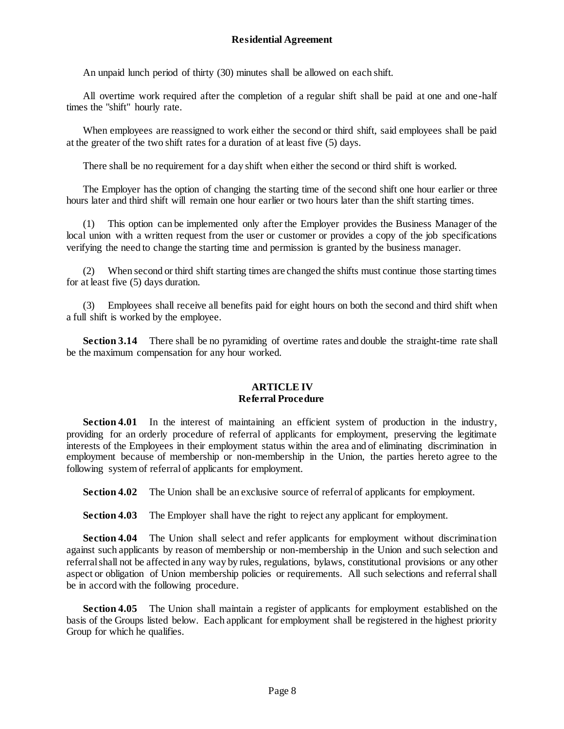An unpaid lunch period of thirty (30) minutes shall be allowed on each shift.

All overtime work required after the completion of a regular shift shall be paid at one and one-half times the "shift" hourly rate.

When employees are reassigned to work either the second or third shift, said employees shall be paid at the greater of the two shift rates for a duration of at least five (5) days.

There shall be no requirement for a day shift when either the second or third shift is worked.

The Employer has the option of changing the starting time of the second shift one hour earlier or three hours later and third shift will remain one hour earlier or two hours later than the shift starting times.

(1) This option can be implemented only after the Employer provides the Business Manager of the local union with a written request from the user or customer or provides a copy of the job specifications verifying the need to change the starting time and permission is granted by the business manager.

(2) When second or third shift starting times are changed the shifts must continue those starting times for at least five (5) days duration.

(3) Employees shall receive all benefits paid for eight hours on both the second and third shift when a full shift is worked by the employee.

**Section 3.14** There shall be no pyramiding of overtime rates and double the straight-time rate shall be the maximum compensation for any hour worked.

## **ARTICLE IV Referral Procedure**

<span id="page-11-1"></span><span id="page-11-0"></span>**Section 4.01** In the interest of maintaining an efficient system of production in the industry, providing for an orderly procedure of referral of applicants for employment, preserving the legitimate interests of the Employees in their employment status within the area and of eliminating discrimination in employment because of membership or non-membership in the Union, the parties hereto agree to the following system of referral of applicants for employment.

**Section 4.02** The Union shall be an exclusive source of referral of applicants for employment.

**Section 4.03** The Employer shall have the right to reject any applicant for employment.

**Section 4.04** The Union shall select and refer applicants for employment without discrimination against such applicants by reason of membership or non-membership in the Union and such selection and referral shall not be affected in any way by rules, regulations, bylaws, constitutional provisions or any other aspect or obligation of Union membership policies or requirements. All such selections and referral shall be in accord with the following procedure.

**Section 4.05** The Union shall maintain a register of applicants for employment established on the basis of the Groups listed below. Each applicant for employment shall be registered in the highest priority Group for which he qualifies.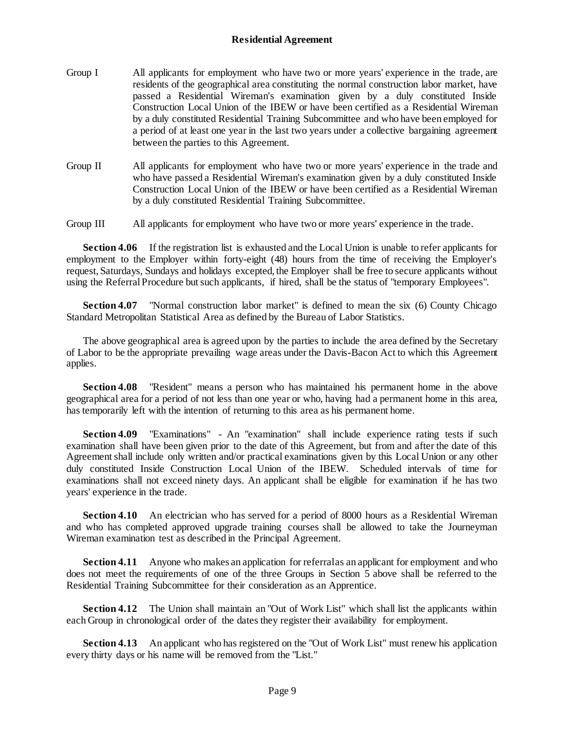- Group I All applicants for employment who have two or more years' experience in the trade, are residents of the geographical area constituting the normal construction labor market, have passed a Residential Wireman's examination given by a duly constituted Inside Construction Local Union of the IBEW or have been certified as a Residential Wireman by a duly constituted Residential Training Subcommittee and who have been employed for a period of at least one year in the last two years under a collective bargaining agreement between the parties to this Agreement.
- Group II All applicants for employment who have two or more years' experience in the trade and who have passed a Residential Wireman's examination given by a duly constituted Inside Construction Local Union of the IBEW or have been certified as a Residential Wireman by a duly constituted Residential Training Subcommittee.

Group III All applicants for employment who have two or more years' experience in the trade.

**Section 4.06** If the registration list is exhausted and the Local Union is unable to refer applicants for employment to the Employer within forty-eight (48) hours from the time of receiving the Employer's request, Saturdays, Sundays and holidays excepted, the Employer shall be free to secure applicants without using the Referral Procedure but such applicants, if hired, shall be the status of "temporary Employees".

**Section 4.07** "Normal construction labor market" is defined to mean the six (6) County Chicago Standard Metropolitan Statistical Area as defined by the Bureau of Labor Statistics.

The above geographical area is agreed upon by the parties to include the area defined by the Secretary of Labor to be the appropriate prevailing wage areas under the Davis-Bacon Act to which this Agreement applies.

**Section 4.08** "Resident" means a person who has maintained his permanent home in the above geographical area for a period of not less than one year or who, having had a permanent home in this area, has temporarily left with the intention of returning to this area as his permanent home.

**Section 4.09** "Examinations" - An "examination" shall include experience rating tests if such examination shall have been given prior to the date of this Agreement, but from and after the date of this Agreement shall include only written and/or practical examinations given by this Local Union or any other duly constituted Inside Construction Local Union of the IBEW. Scheduled intervals of time for examinations shall not exceed ninety days. An applicant shall be eligible for examination if he has two years' experience in the trade.

**Section 4.10** An electrician who has served for a period of 8000 hours as a Residential Wireman and who has completed approved upgrade training courses shall be allowed to take the Journeyman Wireman examination test as described in the Principal Agreement.

**Section 4.11** Anyone who makes an application for referral as an applicant for employment and who does not meet the requirements of one of the three Groups in Section 5 above shall be referred to the Residential Training Subcommittee for their consideration as an Apprentice.

**Section 4.12** The Union shall maintain an "Out of Work List" which shall list the applicants within each Group in chronological order of the dates they register their availability for employment.

**Section 4.13** An applicant who has registered on the "Out of Work List" must renew his application every thirty days or his name will be removed from the "List."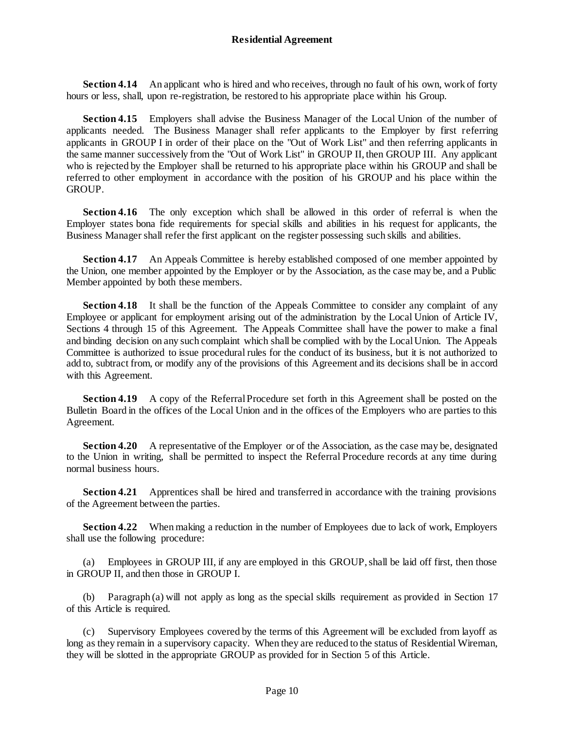**Section 4.14** An applicant who is hired and who receives, through no fault of his own, work of forty hours or less, shall, upon re-registration, be restored to his appropriate place within his Group.

**Section 4.15** Employers shall advise the Business Manager of the Local Union of the number of applicants needed. The Business Manager shall refer applicants to the Employer by first referring applicants in GROUP I in order of their place on the "Out of Work List" and then referring applicants in the same manner successively from the "Out of Work List" in GROUP II, then GROUP III. Any applicant who is rejected by the Employer shall be returned to his appropriate place within his GROUP and shall be referred to other employment in accordance with the position of his GROUP and his place within the GROUP.

**Section 4.16** The only exception which shall be allowed in this order of referral is when the Employer states bona fide requirements for special skills and abilities in his request for applicants, the Business Manager shall refer the first applicant on the register possessing such skills and abilities.

**Section 4.17** An Appeals Committee is hereby established composed of one member appointed by the Union, one member appointed by the Employer or by the Association, as the case may be, and a Public Member appointed by both these members.

**Section 4.18** It shall be the function of the Appeals Committee to consider any complaint of any Employee or applicant for employment arising out of the administration by the Local Union of Article IV, Sections 4 through 15 of this Agreement. The Appeals Committee shall have the power to make a final and binding decision on any such complaint which shall be complied with by the Local Union. The Appeals Committee is authorized to issue procedural rules for the conduct of its business, but it is not authorized to add to, subtract from, or modify any of the provisions of this Agreement and its decisions shall be in accord with this Agreement.

**Section 4.19** A copy of the Referral Procedure set forth in this Agreement shall be posted on the Bulletin Board in the offices of the Local Union and in the offices of the Employers who are parties to this Agreement.

**Section 4.20** A representative of the Employer or of the Association, as the case may be, designated to the Union in writing, shall be permitted to inspect the Referral Procedure records at any time during normal business hours.

**Section 4.21** Apprentices shall be hired and transferred in accordance with the training provisions of the Agreement between the parties.

**Section 4.22** When making a reduction in the number of Employees due to lack of work, Employers shall use the following procedure:

(a) Employees in GROUP III, if any are employed in this GROUP, shall be laid off first, then those in GROUP II, and then those in GROUP I.

(b) Paragraph (a) will not apply as long as the special skills requirement as provided in Section 17 of this Article is required.

(c) Supervisory Employees covered by the terms of this Agreement will be excluded from layoff as long as they remain in a supervisory capacity. When they are reduced to the status of Residential Wireman, they will be slotted in the appropriate GROUP as provided for in Section 5 of this Article.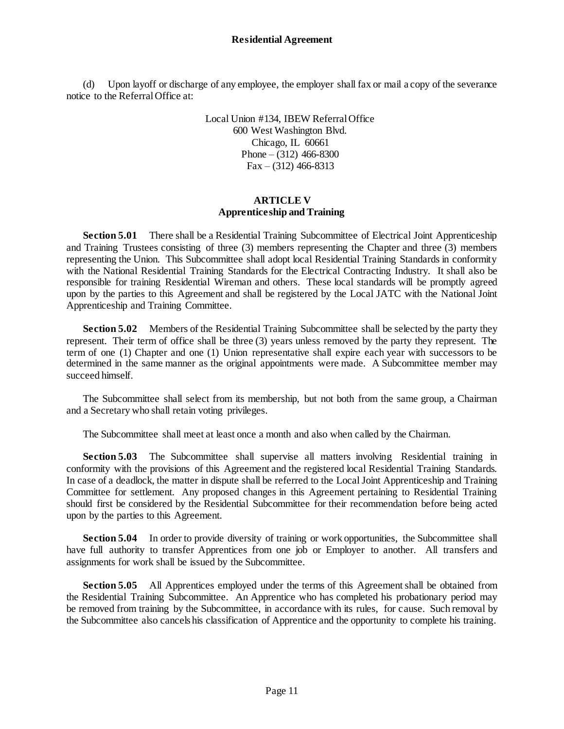(d) Upon layoff or discharge of any employee, the employer shall fax or mail a copy of the severance notice to the Referral Office at:

> Local Union #134, IBEW Referral Office 600 West Washington Blvd. Chicago, IL 60661 Phone –  $(312)$  466-8300  $Fax - (312)$  466-8313

## **ARTICLE V Apprenticeship and Training**

<span id="page-14-1"></span><span id="page-14-0"></span>**Section 5.01** There shall be a Residential Training Subcommittee of Electrical Joint Apprenticeship and Training Trustees consisting of three (3) members representing the Chapter and three (3) members representing the Union. This Subcommittee shall adopt local Residential Training Standards in conformity with the National Residential Training Standards for the Electrical Contracting Industry. It shall also be responsible for training Residential Wireman and others. These local standards will be promptly agreed upon by the parties to this Agreement and shall be registered by the Local JATC with the National Joint Apprenticeship and Training Committee.

**Section 5.02** Members of the Residential Training Subcommittee shall be selected by the party they represent. Their term of office shall be three (3) years unless removed by the party they represent. The term of one (1) Chapter and one (1) Union representative shall expire each year with successors to be determined in the same manner as the original appointments were made. A Subcommittee member may succeed himself.

The Subcommittee shall select from its membership, but not both from the same group, a Chairman and a Secretary who shall retain voting privileges.

The Subcommittee shall meet at least once a month and also when called by the Chairman.

**Section 5.03** The Subcommittee shall supervise all matters involving Residential training in conformity with the provisions of this Agreement and the registered local Residential Training Standards. In case of a deadlock, the matter in dispute shall be referred to the Local Joint Apprenticeship and Training Committee for settlement. Any proposed changes in this Agreement pertaining to Residential Training should first be considered by the Residential Subcommittee for their recommendation before being acted upon by the parties to this Agreement.

**Section 5.04** In order to provide diversity of training or work opportunities, the Subcommittee shall have full authority to transfer Apprentices from one job or Employer to another. All transfers and assignments for work shall be issued by the Subcommittee.

**Section 5.05** All Apprentices employed under the terms of this Agreement shall be obtained from the Residential Training Subcommittee. An Apprentice who has completed his probationary period may be removed from training by the Subcommittee, in accordance with its rules, for cause. Such removal by the Subcommittee also cancels his classification of Apprentice and the opportunity to complete his training.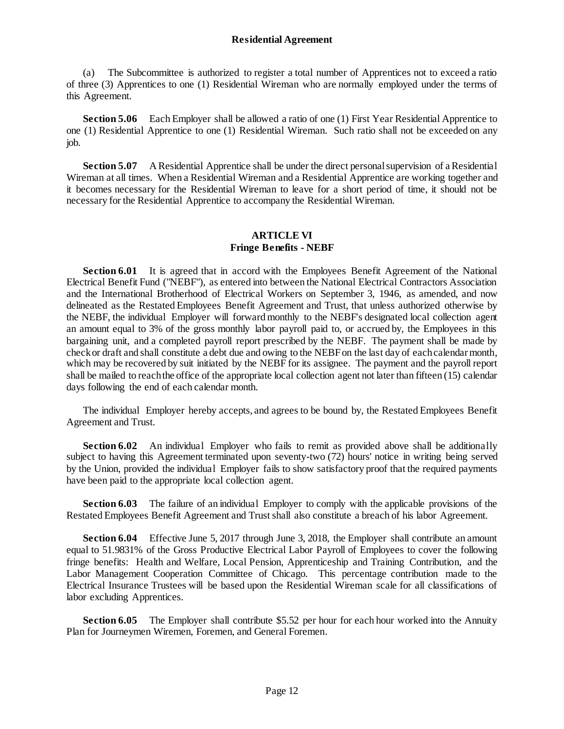(a) The Subcommittee is authorized to register a total number of Apprentices not to exceed a ratio of three (3) Apprentices to one (1) Residential Wireman who are normally employed under the terms of this Agreement.

**Section 5.06** Each Employer shall be allowed a ratio of one (1) First Year Residential Apprentice to one (1) Residential Apprentice to one (1) Residential Wireman. Such ratio shall not be exceeded on any job.

**Section 5.07** A Residential Apprentice shall be under the direct personal supervision of a Residential Wireman at all times. When a Residential Wireman and a Residential Apprentice are working together and it becomes necessary for the Residential Wireman to leave for a short period of time, it should not be necessary for the Residential Apprentice to accompany the Residential Wireman.

## **ARTICLE VI Fringe Benefits - NEBF**

<span id="page-15-1"></span><span id="page-15-0"></span>**Section 6.01** It is agreed that in accord with the Employees Benefit Agreement of the National Electrical Benefit Fund ("NEBF"), as entered into between the National Electrical Contractors Association and the International Brotherhood of Electrical Workers on September 3, 1946, as amended, and now delineated as the Restated Employees Benefit Agreement and Trust, that unless authorized otherwise by the NEBF, the individual Employer will forward monthly to the NEBF's designated local collection agent an amount equal to 3% of the gross monthly labor payroll paid to, or accrued by, the Employees in this bargaining unit, and a completed payroll report prescribed by the NEBF. The payment shall be made by check or draft and shall constitute a debt due and owing to the NEBF on the last day of each calendar month, which may be recovered by suit initiated by the NEBF for its assignee. The payment and the payroll report shall be mailed to reach the office of the appropriate local collection agent not later than fifteen (15) calendar days following the end of each calendar month.

The individual Employer hereby accepts, and agrees to be bound by, the Restated Employees Benefit Agreement and Trust.

**Section 6.02** An individual Employer who fails to remit as provided above shall be additionally subject to having this Agreement terminated upon seventy-two (72) hours' notice in writing being served by the Union, provided the individual Employer fails to show satisfactory proof that the required payments have been paid to the appropriate local collection agent.

**Section 6.03** The failure of an individual Employer to comply with the applicable provisions of the Restated Employees Benefit Agreement and Trust shall also constitute a breach of his labor Agreement.

**Section 6.04** Effective June 5, 2017 through June 3, 2018, the Employer shall contribute an amount equal to 51.9831% of the Gross Productive Electrical Labor Payroll of Employees to cover the following fringe benefits: Health and Welfare, Local Pension, Apprenticeship and Training Contribution, and the Labor Management Cooperation Committee of Chicago. This percentage contribution made to the Electrical Insurance Trustees will be based upon the Residential Wireman scale for all classifications of labor excluding Apprentices.

**Section 6.05** The Employer shall contribute \$5.52 per hour for each hour worked into the Annuity Plan for Journeymen Wiremen, Foremen, and General Foremen.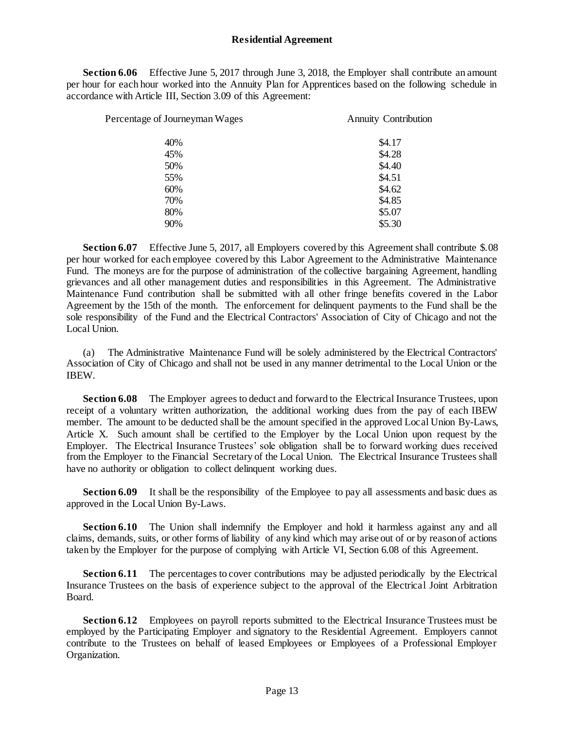**Section 6.06** Effective June 5, 2017 through June 3, 2018, the Employer shall contribute an amount per hour for each hour worked into the Annuity Plan for Apprentices based on the following schedule in accordance with Article III, Section 3.09 of this Agreement:

| Percentage of Journeyman Wages | <b>Annuity Contribution</b> |
|--------------------------------|-----------------------------|
| 40%                            | \$4.17                      |
| 45%                            | \$4.28                      |
| 50%                            | \$4.40                      |
| 55%                            | \$4.51                      |
| 60%                            | \$4.62                      |
| 70%                            | \$4.85                      |
| 80%                            | \$5.07                      |
| 90%                            | \$5.30                      |

**Section 6.07** Effective June 5, 2017, all Employers covered by this Agreement shall contribute \$.08 per hour worked for each employee covered by this Labor Agreement to the Administrative Maintenance Fund. The moneys are for the purpose of administration of the collective bargaining Agreement, handling grievances and all other management duties and responsibilities in this Agreement. The Administrative Maintenance Fund contribution shall be submitted with all other fringe benefits covered in the Labor Agreement by the 15th of the month. The enforcement for delinquent payments to the Fund shall be the sole responsibility of the Fund and the Electrical Contractors' Association of City of Chicago and not the Local Union.

(a) The Administrative Maintenance Fund will be solely administered by the Electrical Contractors' Association of City of Chicago and shall not be used in any manner detrimental to the Local Union or the IBEW.

**Section 6.08** The Employer agrees to deduct and forward to the Electrical Insurance Trustees, upon receipt of a voluntary written authorization, the additional working dues from the pay of each IBEW member. The amount to be deducted shall be the amount specified in the approved Local Union By-Laws, Article X. Such amount shall be certified to the Employer by the Local Union upon request by the Employer. The Electrical Insurance Trustees' sole obligation shall be to forward working dues received from the Employer to the Financial Secretary of the Local Union. The Electrical Insurance Trustees shall have no authority or obligation to collect delinquent working dues.

**Section 6.09** It shall be the responsibility of the Employee to pay all assessments and basic dues as approved in the Local Union By-Laws.

**Section 6.10** The Union shall indemnify the Employer and hold it harmless against any and all claims, demands, suits, or other forms of liability of any kind which may arise out of or by reason of actions taken by the Employer for the purpose of complying with Article VI, Section 6.08 of this Agreement.

**Section 6.11** The percentages to cover contributions may be adjusted periodically by the Electrical Insurance Trustees on the basis of experience subject to the approval of the Electrical Joint Arbitration Board.

**Section 6.12** Employees on payroll reports submitted to the Electrical Insurance Trustees must be employed by the Participating Employer and signatory to the Residential Agreement. Employers cannot contribute to the Trustees on behalf of leased Employees or Employees of a Professional Employer Organization.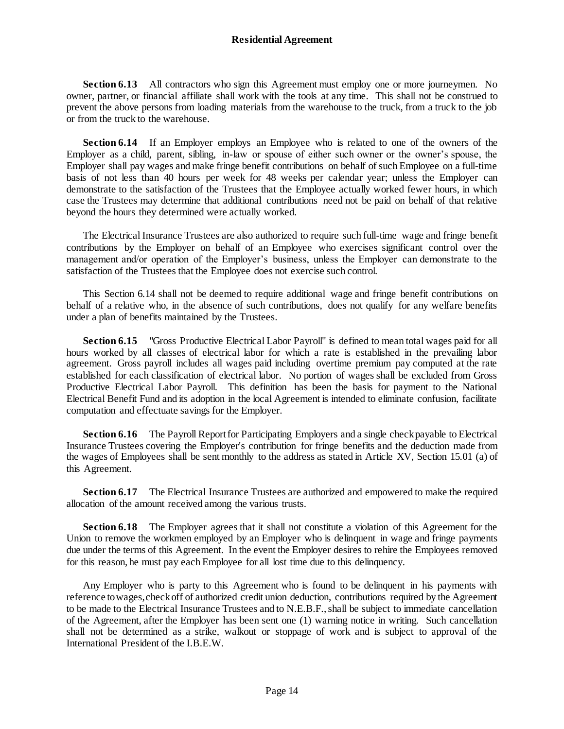**Section 6.13** All contractors who sign this Agreement must employ one or more journeymen. No owner, partner, or financial affiliate shall work with the tools at any time. This shall not be construed to prevent the above persons from loading materials from the warehouse to the truck, from a truck to the job or from the truck to the warehouse.

**Section 6.14** If an Employer employs an Employee who is related to one of the owners of the Employer as a child, parent, sibling, in-law or spouse of either such owner or the owner's spouse, the Employer shall pay wages and make fringe benefit contributions on behalf of such Employee on a full-time basis of not less than 40 hours per week for 48 weeks per calendar year; unless the Employer can demonstrate to the satisfaction of the Trustees that the Employee actually worked fewer hours, in which case the Trustees may determine that additional contributions need not be paid on behalf of that relative beyond the hours they determined were actually worked.

The Electrical Insurance Trustees are also authorized to require such full-time wage and fringe benefit contributions by the Employer on behalf of an Employee who exercises significant control over the management and/or operation of the Employer's business, unless the Employer can demonstrate to the satisfaction of the Trustees that the Employee does not exercise such control.

This Section 6.14 shall not be deemed to require additional wage and fringe benefit contributions on behalf of a relative who, in the absence of such contributions, does not qualify for any welfare benefits under a plan of benefits maintained by the Trustees.

**Section 6.15** "Gross Productive Electrical Labor Payroll" is defined to mean total wages paid for all hours worked by all classes of electrical labor for which a rate is established in the prevailing labor agreement. Gross payroll includes all wages paid including overtime premium pay computed at the rate established for each classification of electrical labor. No portion of wages shall be excluded from Gross Productive Electrical Labor Payroll. This definition has been the basis for payment to the National Electrical Benefit Fund and its adoption in the local Agreement is intended to eliminate confusion, facilitate computation and effectuate savings for the Employer.

**Section 6.16** The Payroll Report for Participating Employers and a single check payable to Electrical Insurance Trustees covering the Employer's contribution for fringe benefits and the deduction made from the wages of Employees shall be sent monthly to the address as stated in Article XV, Section 15.01 (a) of this Agreement.

**Section 6.17** The Electrical Insurance Trustees are authorized and empowered to make the required allocation of the amount received among the various trusts.

**Section 6.18** The Employer agrees that it shall not constitute a violation of this Agreement for the Union to remove the workmen employed by an Employer who is delinquent in wage and fringe payments due under the terms of this Agreement. In the event the Employer desires to rehire the Employees removed for this reason, he must pay each Employee for all lost time due to this delinquency.

Any Employer who is party to this Agreement who is found to be delinquent in his payments with reference to wages, check off of authorized credit union deduction, contributions required by the Agreement to be made to the Electrical Insurance Trustees and to N.E.B.F., shall be subject to immediate cancellation of the Agreement, after the Employer has been sent one (1) warning notice in writing. Such cancellation shall not be determined as a strike, walkout or stoppage of work and is subject to approval of the International President of the I.B.E.W.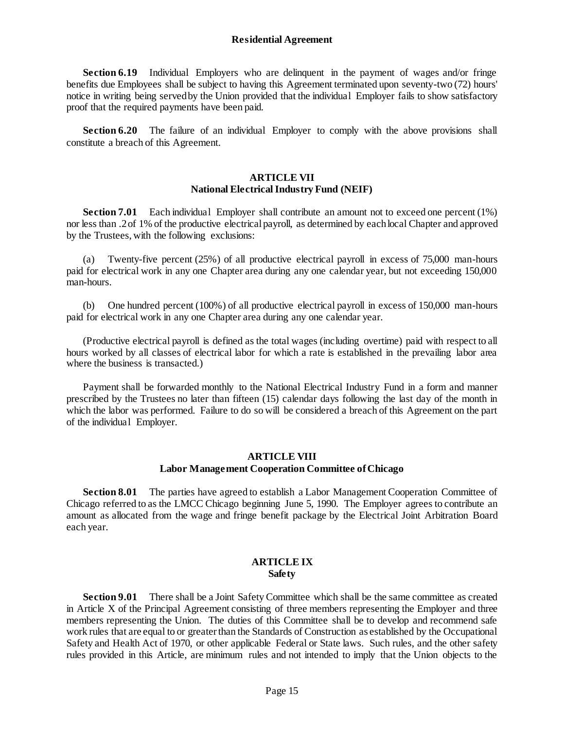**Section 6.19** Individual Employers who are delinquent in the payment of wages and/or fringe benefits due Employees shall be subject to having this Agreement terminated upon seventy-two (72) hours' notice in writing being served by the Union provided that the individual Employer fails to show satisfactory proof that the required payments have been paid.

**Section 6.20** The failure of an individual Employer to comply with the above provisions shall constitute a breach of this Agreement.

### **ARTICLE VII National Electrical Industry Fund (NEIF)**

<span id="page-18-1"></span><span id="page-18-0"></span>**Section 7.01** Each individual Employer shall contribute an amount not to exceed one percent (1%) nor less than .2 of 1% of the productive electrical payroll, as determined by each local Chapter and approved by the Trustees, with the following exclusions:

(a) Twenty-five percent (25%) of all productive electrical payroll in excess of 75,000 man-hours paid for electrical work in any one Chapter area during any one calendar year, but not exceeding 150,000 man-hours.

(b) One hundred percent (100%) of all productive electrical payroll in excess of 150,000 man-hours paid for electrical work in any one Chapter area during any one calendar year.

(Productive electrical payroll is defined as the total wages (including overtime) paid with respect to all hours worked by all classes of electrical labor for which a rate is established in the prevailing labor area where the business is transacted.)

Payment shall be forwarded monthly to the National Electrical Industry Fund in a form and manner prescribed by the Trustees no later than fifteen (15) calendar days following the last day of the month in which the labor was performed. Failure to do so will be considered a breach of this Agreement on the part of the individual Employer.

## **ARTICLE VIII Labor Management Cooperation Committee of Chicago**

<span id="page-18-3"></span><span id="page-18-2"></span>**Section 8.01** The parties have agreed to establish a Labor Management Cooperation Committee of Chicago referred to as the LMCC Chicago beginning June 5, 1990. The Employer agrees to contribute an amount as allocated from the wage and fringe benefit package by the Electrical Joint Arbitration Board each year.

## **ARTICLE IX Safety**

<span id="page-18-5"></span><span id="page-18-4"></span>**Section 9.01** There shall be a Joint Safety Committee which shall be the same committee as created in Article X of the Principal Agreement consisting of three members representing the Employer and three members representing the Union. The duties of this Committee shall be to develop and recommend safe work rules that are equal to or greater than the Standards of Construction as established by the Occupational Safety and Health Act of 1970, or other applicable Federal or State laws. Such rules, and the other safety rules provided in this Article, are minimum rules and not intended to imply that the Union objects to the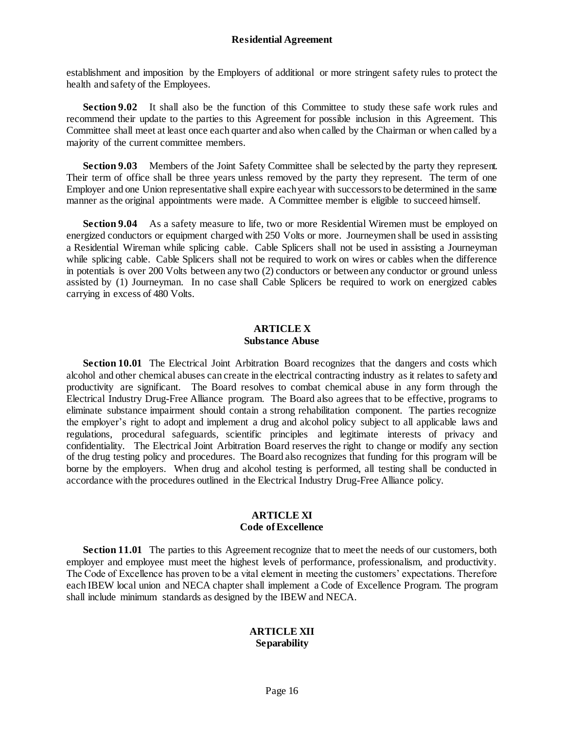establishment and imposition by the Employers of additional or more stringent safety rules to protect the health and safety of the Employees.

**Section 9.02** It shall also be the function of this Committee to study these safe work rules and recommend their update to the parties to this Agreement for possible inclusion in this Agreement. This Committee shall meet at least once each quarter and also when called by the Chairman or when called by a majority of the current committee members.

**Section 9.03** Members of the Joint Safety Committee shall be selected by the party they represent. Their term of office shall be three years unless removed by the party they represent. The term of one Employer and one Union representative shall expire each year with successors to be determined in the same manner as the original appointments were made. A Committee member is eligible to succeed himself.

**Section 9.04** As a safety measure to life, two or more Residential Wiremen must be employed on energized conductors or equipment charged with 250 Volts or more. Journeymen shall be used in assisting a Residential Wireman while splicing cable. Cable Splicers shall not be used in assisting a Journeyman while splicing cable. Cable Splicers shall not be required to work on wires or cables when the difference in potentials is over 200 Volts between any two (2) conductors or between any conductor or ground unless assisted by (1) Journeyman. In no case shall Cable Splicers be required to work on energized cables carrying in excess of 480 Volts.

## **ARTICLE X Substance Abuse**

<span id="page-19-1"></span><span id="page-19-0"></span>**Section 10.01** The Electrical Joint Arbitration Board recognizes that the dangers and costs which alcohol and other chemical abuses can create in the electrical contracting industry as it relates to safety and productivity are significant. The Board resolves to combat chemical abuse in any form through the Electrical Industry Drug-Free Alliance program. The Board also agrees that to be effective, programs to eliminate substance impairment should contain a strong rehabilitation component. The parties recognize the employer's right to adopt and implement a drug and alcohol policy subject to all applicable laws and regulations, procedural safeguards, scientific principles and legitimate interests of privacy and confidentiality. The Electrical Joint Arbitration Board reserves the right to change or modify any section of the drug testing policy and procedures. The Board also recognizes that funding for this program will be borne by the employers. When drug and alcohol testing is performed, all testing shall be conducted in accordance with the procedures outlined in the Electrical Industry Drug-Free Alliance policy.

## **ARTICLE XI Code of Excellence**

<span id="page-19-5"></span><span id="page-19-4"></span><span id="page-19-3"></span><span id="page-19-2"></span>**Section 11.01** The parties to this Agreement recognize that to meet the needs of our customers, both employer and employee must meet the highest levels of performance, professionalism, and productivity. The Code of Excellence has proven to be a vital element in meeting the customers' expectations. Therefore each IBEW local union and NECA chapter shall implement a Code of Excellence Program. The program shall include minimum standards as designed by the IBEW and NECA.

## **ARTICLE XII Separability**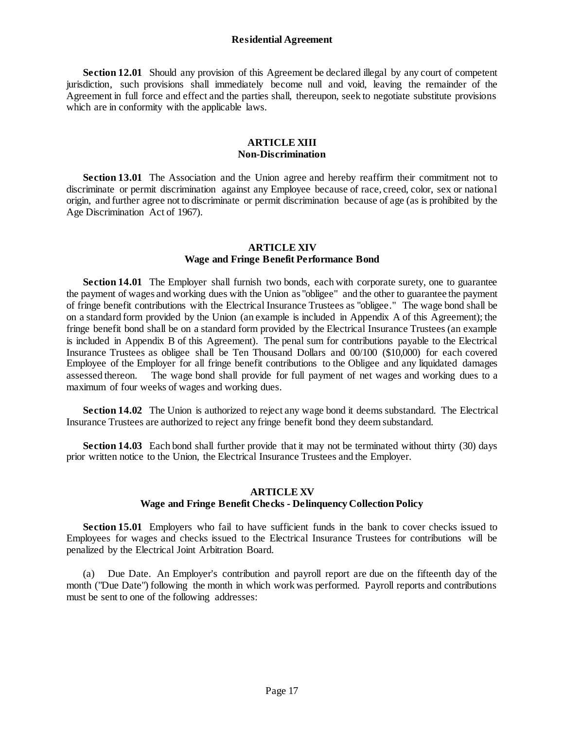**Section 12.01** Should any provision of this Agreement be declared illegal by any court of competent jurisdiction, such provisions shall immediately become null and void, leaving the remainder of the Agreement in full force and effect and the parties shall, thereupon, seek to negotiate substitute provisions which are in conformity with the applicable laws.

## **ARTICLE XIII Non-Discrimination**

<span id="page-20-1"></span><span id="page-20-0"></span>**Section 13.01** The Association and the Union agree and hereby reaffirm their commitment not to discriminate or permit discrimination against any Employee because of race, creed, color, sex or national origin, and further agree not to discriminate or permit discrimination because of age (as is prohibited by the Age Discrimination Act of 1967).

### **ARTICLE XIV Wage and Fringe Benefit Performance Bond**

<span id="page-20-3"></span><span id="page-20-2"></span>**Section 14.01** The Employer shall furnish two bonds, each with corporate surety, one to guarantee the payment of wages and working dues with the Union as "obligee" and the other to guarantee the payment of fringe benefit contributions with the Electrical Insurance Trustees as "obligee." The wage bond shall be on a standard form provided by the Union (an example is included in Appendix A of this Agreement); the fringe benefit bond shall be on a standard form provided by the Electrical Insurance Trustees (an example is included in Appendix B of this Agreement). The penal sum for contributions payable to the Electrical Insurance Trustees as obligee shall be Ten Thousand Dollars and 00/100 (\$10,000) for each covered Employee of the Employer for all fringe benefit contributions to the Obligee and any liquidated damages assessed thereon. The wage bond shall provide for full payment of net wages and working dues to a maximum of four weeks of wages and working dues.

**Section 14.02** The Union is authorized to reject any wage bond it deems substandard. The Electrical Insurance Trustees are authorized to reject any fringe benefit bond they deem substandard.

**Section 14.03** Each bond shall further provide that it may not be terminated without thirty (30) days prior written notice to the Union, the Electrical Insurance Trustees and the Employer.

## **ARTICLE XV Wage and Fringe Benefit Checks - Delinquency Collection Policy**

<span id="page-20-5"></span><span id="page-20-4"></span>**Section 15.01** Employers who fail to have sufficient funds in the bank to cover checks issued to Employees for wages and checks issued to the Electrical Insurance Trustees for contributions will be penalized by the Electrical Joint Arbitration Board.

(a) Due Date. An Employer's contribution and payroll report are due on the fifteenth day of the month ("Due Date") following the month in which work was performed. Payroll reports and contributions must be sent to one of the following addresses: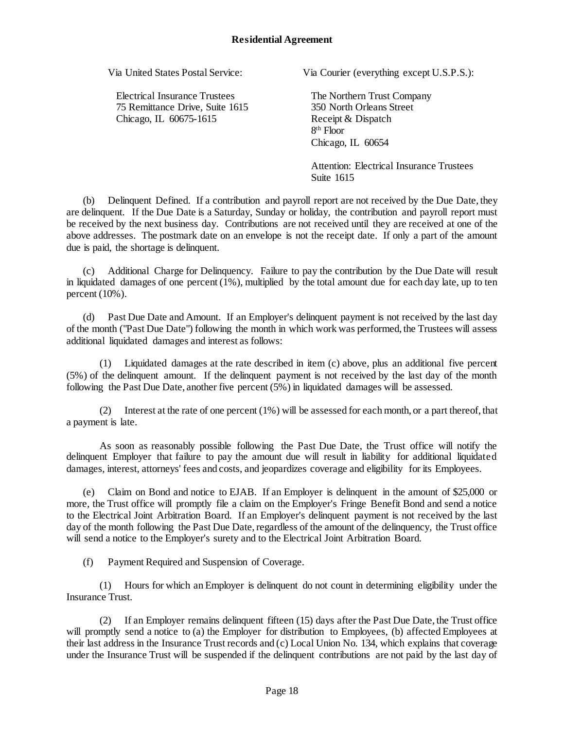Electrical Insurance Trustees 75 Remittance Drive, Suite 1615 Chicago, IL 60675-1615

Via United States Postal Service: Via Courier (everything except U.S.P.S.):

The Northern Trust Company 350 North Orleans Street Receipt & Dispatch 8 th Floor Chicago, IL 60654

Attention: Electrical Insurance Trustees Suite 1615

(b) Delinquent Defined. If a contribution and payroll report are not received by the Due Date, they are delinquent. If the Due Date is a Saturday, Sunday or holiday, the contribution and payroll report must be received by the next business day. Contributions are not received until they are received at one of the above addresses. The postmark date on an envelope is not the receipt date. If only a part of the amount due is paid, the shortage is delinquent.

(c) Additional Charge for Delinquency. Failure to pay the contribution by the Due Date will result in liquidated damages of one percent  $(1\%)$ , multiplied by the total amount due for each day late, up to ten percent (10%).

(d) Past Due Date and Amount. If an Employer's delinquent payment is not received by the last day of the month ("Past Due Date") following the month in which work was performed, the Trustees will assess additional liquidated damages and interest as follows:

(1) Liquidated damages at the rate described in item (c) above, plus an additional five percent (5%) of the delinquent amount. If the delinquent payment is not received by the last day of the month following the Past Due Date, another five percent (5%) in liquidated damages will be assessed.

(2) Interest at the rate of one percent (1%) will be assessed for each month, or a part thereof, that a payment is late.

As soon as reasonably possible following the Past Due Date, the Trust office will notify the delinquent Employer that failure to pay the amount due will result in liability for additional liquidated damages, interest, attorneys' fees and costs, and jeopardizes coverage and eligibility for its Employees.

(e) Claim on Bond and notice to EJAB. If an Employer is delinquent in the amount of \$25,000 or more, the Trust office will promptly file a claim on the Employer's Fringe Benefit Bond and send a notice to the Electrical Joint Arbitration Board. If an Employer's delinquent payment is not received by the last day of the month following the Past Due Date, regardless of the amount of the delinquency, the Trust office will send a notice to the Employer's surety and to the Electrical Joint Arbitration Board.

(f) Payment Required and Suspension of Coverage.

(1) Hours for which an Employer is delinquent do not count in determining eligibility under the Insurance Trust.

(2) If an Employer remains delinquent fifteen (15) days after the Past Due Date, the Trust office will promptly send a notice to (a) the Employer for distribution to Employees, (b) affected Employees at their last address in the Insurance Trust records and (c) Local Union No. 134, which explains that coverage under the Insurance Trust will be suspended if the delinquent contributions are not paid by the last day of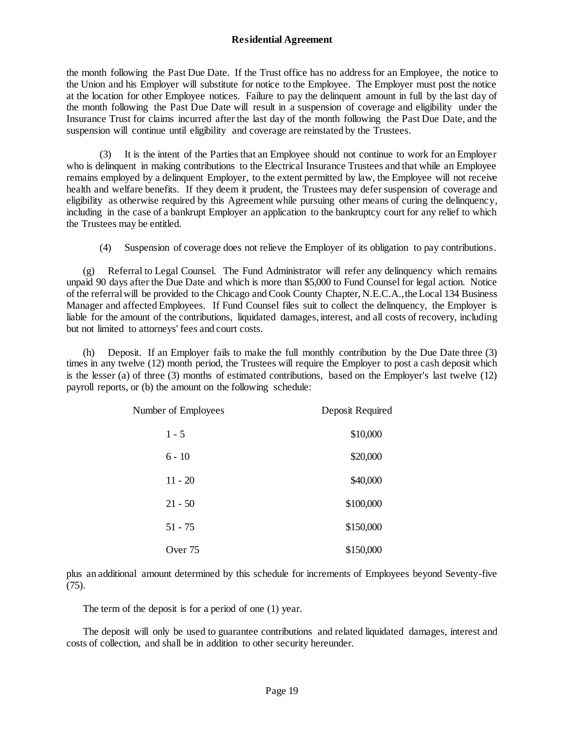the month following the Past Due Date. If the Trust office has no address for an Employee, the notice to the Union and his Employer will substitute for notice to the Employee. The Employer must post the notice at the location for other Employee notices. Failure to pay the delinquent amount in full by the last day of the month following the Past Due Date will result in a suspension of coverage and eligibility under the Insurance Trust for claims incurred after the last day of the month following the Past Due Date, and the suspension will continue until eligibility and coverage are reinstated by the Trustees.

(3) It is the intent of the Parties that an Employee should not continue to work for an Employer who is delinquent in making contributions to the Electrical Insurance Trustees and that while an Employee remains employed by a delinquent Employer, to the extent permitted by law, the Employee will not receive health and welfare benefits. If they deem it prudent, the Trustees may defer suspension of coverage and eligibility as otherwise required by this Agreement while pursuing other means of curing the delinquency, including in the case of a bankrupt Employer an application to the bankruptcy court for any relief to which the Trustees may be entitled.

(4) Suspension of coverage does not relieve the Employer of its obligation to pay contributions.

(g) Referral to Legal Counsel. The Fund Administrator will refer any delinquency which remains unpaid 90 days after the Due Date and which is more than \$5,000 to Fund Counsel for legal action. Notice of the referral will be provided to the Chicago and Cook County Chapter, N.E.C.A., the Local 134 Business Manager and affected Employees. If Fund Counsel files suit to collect the delinquency, the Employer is liable for the amount of the contributions, liquidated damages, interest, and all costs of recovery, including but not limited to attorneys' fees and court costs.

(h) Deposit. If an Employer fails to make the full monthly contribution by the Due Date three (3) times in any twelve (12) month period, the Trustees will require the Employer to post a cash deposit which is the lesser (a) of three (3) months of estimated contributions, based on the Employer's last twelve (12) payroll reports, or (b) the amount on the following schedule:

| Number of Employees | Deposit Required |
|---------------------|------------------|
| $1 - 5$             | \$10,000         |
| $6 - 10$            | \$20,000         |
| $11 - 20$           | \$40,000         |
| $21 - 50$           | \$100,000        |
| $51 - 75$           | \$150,000        |
| Over 75             | \$150,000        |

plus an additional amount determined by this schedule for increments of Employees beyond Seventy-five (75).

The term of the deposit is for a period of one (1) year.

The deposit will only be used to guarantee contributions and related liquidated damages, interest and costs of collection, and shall be in addition to other security hereunder.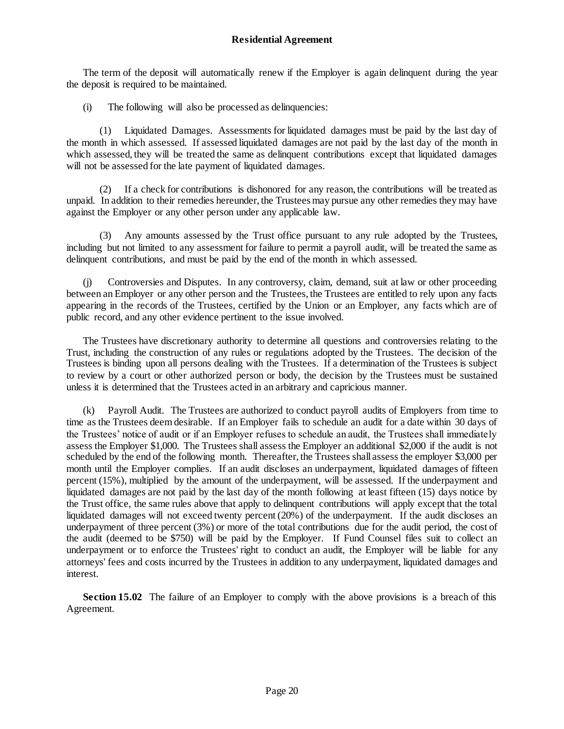The term of the deposit will automatically renew if the Employer is again delinquent during the year the deposit is required to be maintained.

(i) The following will also be processed as delinquencies:

(1) Liquidated Damages. Assessments for liquidated damages must be paid by the last day of the month in which assessed. If assessed liquidated damages are not paid by the last day of the month in which assessed, they will be treated the same as delinquent contributions except that liquidated damages will not be assessed for the late payment of liquidated damages.

(2) If a check for contributions is dishonored for any reason, the contributions will be treated as unpaid. In addition to their remedies hereunder, the Trustees may pursue any other remedies they may have against the Employer or any other person under any applicable law.

(3) Any amounts assessed by the Trust office pursuant to any rule adopted by the Trustees, including but not limited to any assessment for failure to permit a payroll audit, will be treated the same as delinquent contributions, and must be paid by the end of the month in which assessed.

(j) Controversies and Disputes. In any controversy, claim, demand, suit at law or other proceeding between an Employer or any other person and the Trustees, the Trustees are entitled to rely upon any facts appearing in the records of the Trustees, certified by the Union or an Employer, any facts which are of public record, and any other evidence pertinent to the issue involved.

The Trustees have discretionary authority to determine all questions and controversies relating to the Trust, including the construction of any rules or regulations adopted by the Trustees. The decision of the Trustees is binding upon all persons dealing with the Trustees. If a determination of the Trustees is subject to review by a court or other authorized person or body, the decision by the Trustees must be sustained unless it is determined that the Trustees acted in an arbitrary and capricious manner.

(k) Payroll Audit. The Trustees are authorized to conduct payroll audits of Employers from time to time as the Trustees deem desirable. If an Employer fails to schedule an audit for a date within 30 days of the Trustees' notice of audit or if an Employer refuses to schedule an audit, the Trustees shall immediately assess the Employer \$1,000. The Trustees shall assess the Employer an additional \$2,000 if the audit is not scheduled by the end of the following month. Thereafter, the Trustees shall assess the employer \$3,000 per month until the Employer complies. If an audit discloses an underpayment, liquidated damages of fifteen percent (15%), multiplied by the amount of the underpayment, will be assessed. If the underpayment and liquidated damages are not paid by the last day of the month following at least fifteen (15) days notice by the Trust office, the same rules above that apply to delinquent contributions will apply except that the total liquidated damages will not exceed twenty percent (20%) of the underpayment. If the audit discloses an underpayment of three percent (3%) or more of the total contributions due for the audit period, the cost of the audit (deemed to be \$750) will be paid by the Employer. If Fund Counsel files suit to collect an underpayment or to enforce the Trustees' right to conduct an audit, the Employer will be liable for any attorneys' fees and costs incurred by the Trustees in addition to any underpayment, liquidated damages and interest.

Section 15.02 The failure of an Employer to comply with the above provisions is a breach of this Agreement.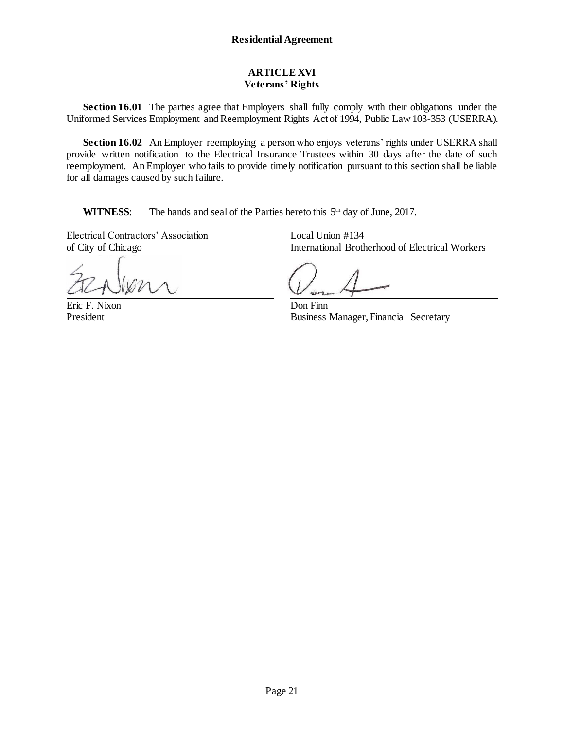## **ARTICLE XVI Veterans' Rights**

<span id="page-24-1"></span><span id="page-24-0"></span>Section 16.01 The parties agree that Employers shall fully comply with their obligations under the Uniformed Services Employment and Reemployment Rights Act of 1994, Public Law 103-353 (USERRA).

**Section 16.02** An Employer reemploying a person who enjoys veterans' rights under USERRA shall provide written notification to the Electrical Insurance Trustees within 30 days after the date of such reemployment. An Employer who fails to provide timely notification pursuant to this section shall be liable for all damages caused by such failure.

<span id="page-24-2"></span>WITNESS: The hands and seal of the Parties hereto this 5<sup>th</sup> day of June, 2017.

Electrical Contractors' Association Local Union #134

Eric F. Nixon Don Finn

of City of Chicago International Brotherhood of Electrical Workers

President Business Manager, Financial Secretary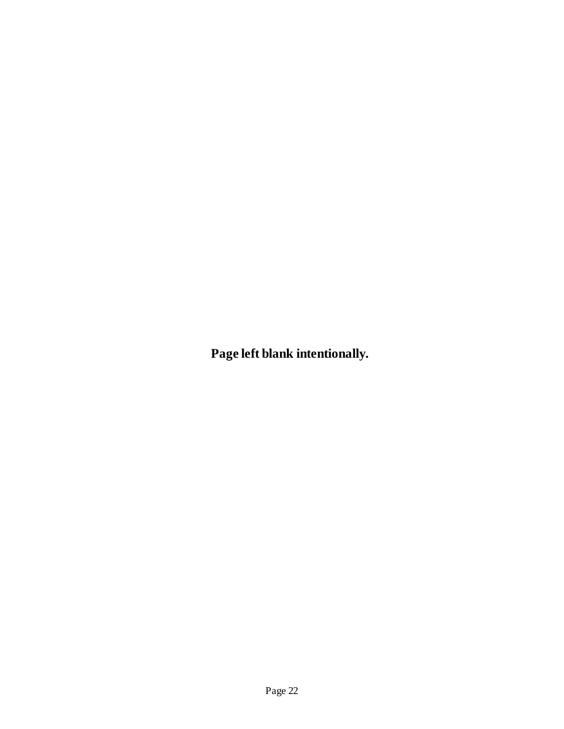**Page left blank intentionally.**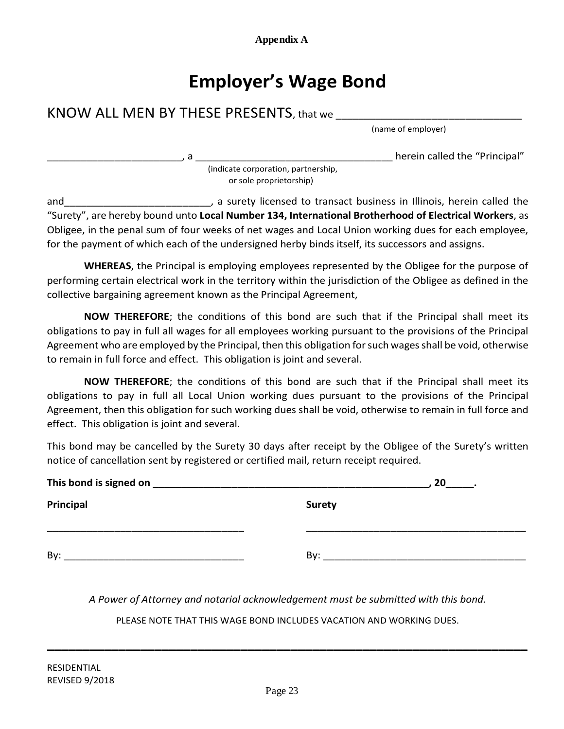**Appendix A**

## **Employer's Wage Bond**

<span id="page-26-0"></span>

| KNOW ALL MEN BY THESE PRESENTS, that we |  |
|-----------------------------------------|--|
|-----------------------------------------|--|

(name of employer)

a understanding the state of the state of the "Principal" called the "Principal"

 (indicate corporation, partnership, or sole proprietorship)

and\_\_\_\_\_\_\_\_\_\_\_\_\_\_\_\_\_\_\_\_\_\_\_\_\_\_\_\_, a surety licensed to transact business in Illinois, herein called the "Surety", are hereby bound unto **Local Number 134, International Brotherhood of Electrical Workers**, as Obligee, in the penal sum of four weeks of net wages and Local Union working dues for each employee, for the payment of which each of the undersigned herby binds itself, its successors and assigns.

**WHEREAS**, the Principal is employing employees represented by the Obligee for the purpose of performing certain electrical work in the territory within the jurisdiction of the Obligee as defined in the collective bargaining agreement known as the Principal Agreement,

**NOW THEREFORE**; the conditions of this bond are such that if the Principal shall meet its obligations to pay in full all wages for all employees working pursuant to the provisions of the Principal Agreement who are employed by the Principal, then this obligation for such wages shall be void, otherwise to remain in full force and effect. This obligation is joint and several.

**NOW THEREFORE**; the conditions of this bond are such that if the Principal shall meet its obligations to pay in full all Local Union working dues pursuant to the provisions of the Principal Agreement, then this obligation for such working dues shall be void, otherwise to remain in full force and effect. This obligation is joint and several.

This bond may be cancelled by the Surety 30 days after receipt by the Obligee of the Surety's written notice of cancellation sent by registered or certified mail, return receipt required.

| This bond is signed on | 20                                                           |  |  |  |
|------------------------|--------------------------------------------------------------|--|--|--|
| Principal              | <b>Surety</b>                                                |  |  |  |
|                        |                                                              |  |  |  |
| By:                    | By:<br><u> 1980 - Jan Stein Berlin, Amerikaansk kanton (</u> |  |  |  |

*A Power of Attorney and notarial acknowledgement must be submitted with this bond.*

PLEASE NOTE THAT THIS WAGE BOND INCLUDES VACATION AND WORKING DUES.

**\_\_\_\_\_\_\_\_\_\_\_\_\_\_\_\_\_\_\_\_\_\_\_\_\_\_\_\_\_\_\_\_\_\_\_\_\_\_\_\_\_\_\_\_\_\_\_\_\_\_\_\_\_\_\_\_\_\_\_\_\_\_\_\_\_\_\_**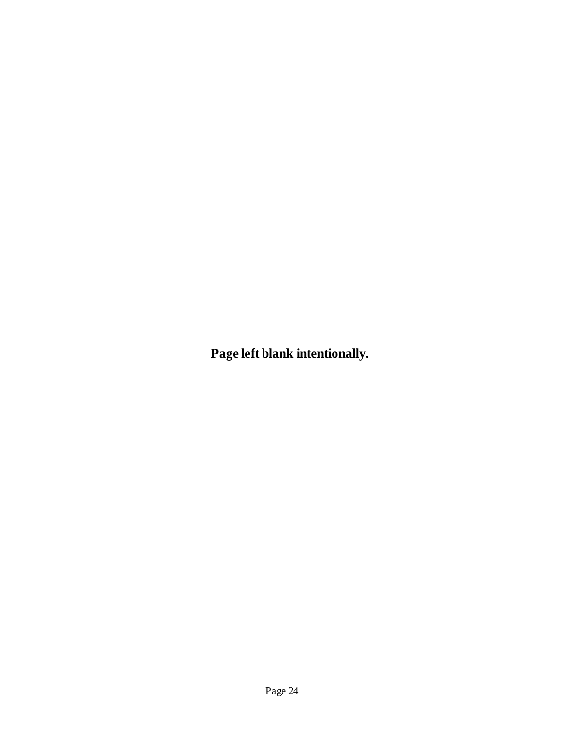**Page left blank intentionally.**